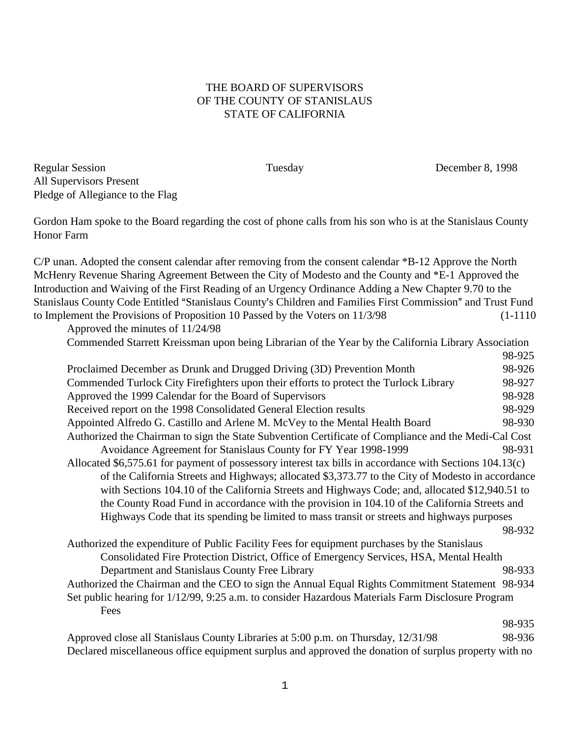## THE BOARD OF SUPERVISORS OF THE COUNTY OF STANISLAUS STATE OF CALIFORNIA

Regular Session Tuesday December 8, 1998 All Supervisors Present Pledge of Allegiance to the Flag

Gordon Ham spoke to the Board regarding the cost of phone calls from his son who is at the Stanislaus County Honor Farm

C/P unan. Adopted the consent calendar after removing from the consent calendar \*B-12 Approve the North McHenry Revenue Sharing Agreement Between the City of Modesto and the County and \*E-1 Approved the Introduction and Waiving of the First Reading of an Urgency Ordinance Adding a New Chapter 9.70 to the Stanislaus County Code Entitled "Stanislaus County's Children and Families First Commission" and Trust Fund to Implement the Provisions of Proposition 10 Passed by the Voters on  $11/3/98$  (1-1110)

| Approved the minutes of 11/24/98                                                                        |        |  |
|---------------------------------------------------------------------------------------------------------|--------|--|
| Commended Starrett Kreissman upon being Librarian of the Year by the California Library Association     |        |  |
|                                                                                                         | 98-925 |  |
| Proclaimed December as Drunk and Drugged Driving (3D) Prevention Month                                  | 98-926 |  |
| Commended Turlock City Firefighters upon their efforts to protect the Turlock Library                   | 98-927 |  |
| Approved the 1999 Calendar for the Board of Supervisors                                                 | 98-928 |  |
| Received report on the 1998 Consolidated General Election results                                       | 98-929 |  |
| Appointed Alfredo G. Castillo and Arlene M. McVey to the Mental Health Board                            | 98-930 |  |
| Authorized the Chairman to sign the State Subvention Certificate of Compliance and the Medi-Cal Cost    |        |  |
| Avoidance Agreement for Stanislaus County for FY Year 1998-1999                                         | 98-931 |  |
| Allocated \$6,575.61 for payment of possessory interest tax bills in accordance with Sections 104.13(c) |        |  |
| of the California Streets and Highways; allocated \$3,373.77 to the City of Modesto in accordance       |        |  |
| with Sections 104.10 of the California Streets and Highways Code; and, allocated \$12,940.51 to         |        |  |
| the County Road Fund in accordance with the provision in 104.10 of the California Streets and           |        |  |
| Highways Code that its spending be limited to mass transit or streets and highways purposes             |        |  |
|                                                                                                         | 98-932 |  |
| Authorized the expenditure of Public Facility Fees for equipment purchases by the Stanislaus            |        |  |
| Consolidated Fire Protection District, Office of Emergency Services, HSA, Mental Health                 |        |  |
| Department and Stanislaus County Free Library                                                           | 98-933 |  |
|                                                                                                         |        |  |

Authorized the Chairman and the CEO to sign the Annual Equal Rights Commitment Statement 98-934 Set public hearing for 1/12/99, 9:25 a.m. to consider Hazardous Materials Farm Disclosure Program Fees

Approved close all Stanislaus County Libraries at 5:00 p.m. on Thursday, 12/31/98 98-936 Declared miscellaneous office equipment surplus and approved the donation of surplus property with no

98-935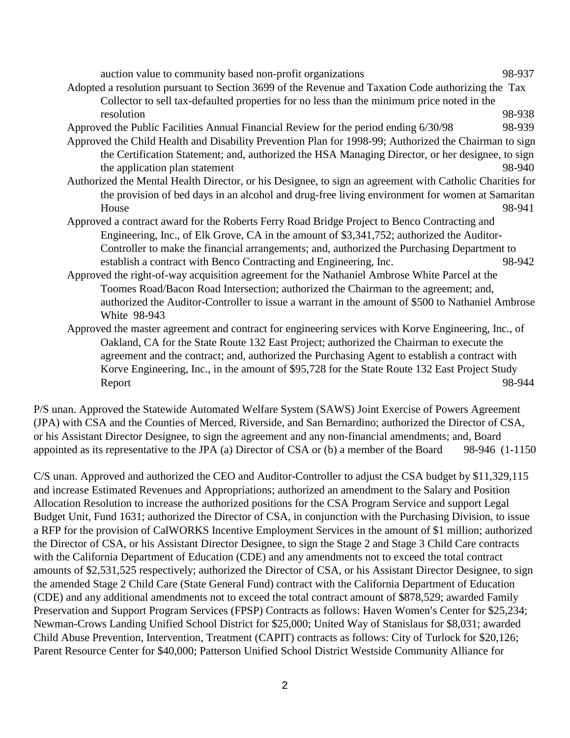auction value to community based non-profit organizations 98-937 Adopted a resolution pursuant to Section 3699 of the Revenue and Taxation Code authorizing the Tax Collector to sell tax-defaulted properties for no less than the minimum price noted in the resolution 98-938 Approved the Public Facilities Annual Financial Review for the period ending 6/30/98 98-939 Approved the Child Health and Disability Prevention Plan for 1998-99; Authorized the Chairman to sign the Certification Statement; and, authorized the HSA Managing Director, or her designee, to sign the application plan statement 98-940 Authorized the Mental Health Director, or his Designee, to sign an agreement with Catholic Charities for the provision of bed days in an alcohol and drug-free living environment for women at Samaritan House 98-941 Approved a contract award for the Roberts Ferry Road Bridge Project to Benco Contracting and Engineering, Inc., of Elk Grove, CA in the amount of \$3,341,752; authorized the Auditor-Controller to make the financial arrangements; and, authorized the Purchasing Department to establish a contract with Benco Contracting and Engineering, Inc. 98-942 Approved the right-of-way acquisition agreement for the Nathaniel Ambrose White Parcel at the Toomes Road/Bacon Road Intersection; authorized the Chairman to the agreement; and, authorized the Auditor-Controller to issue a warrant in the amount of \$500 to Nathaniel Ambrose White 98-943 Approved the master agreement and contract for engineering services with Korve Engineering, Inc., of Oakland, CA for the State Route 132 East Project; authorized the Chairman to execute the agreement and the contract; and, authorized the Purchasing Agent to establish a contract with Korve Engineering, Inc., in the amount of \$95,728 for the State Route 132 East Project Study

Report 98-944

P/S unan. Approved the Statewide Automated Welfare System (SAWS) Joint Exercise of Powers Agreement (JPA) with CSA and the Counties of Merced, Riverside, and San Bernardino; authorized the Director of CSA, or his Assistant Director Designee, to sign the agreement and any non-financial amendments; and, Board appointed as its representative to the JPA (a) Director of CSA or (b) a member of the Board 98-946 (1-1150

C/S unan. Approved and authorized the CEO and Auditor-Controller to adjust the CSA budget by \$11,329,115 and increase Estimated Revenues and Appropriations; authorized an amendment to the Salary and Position Allocation Resolution to increase the authorized positions for the CSA Program Service and support Legal Budget Unit, Fund 1631; authorized the Director of CSA, in conjunction with the Purchasing Division, to issue a RFP for the provision of CalWORKS Incentive Employment Services in the amount of \$1 million; authorized the Director of CSA, or his Assistant Director Designee, to sign the Stage 2 and Stage 3 Child Care contracts with the California Department of Education (CDE) and any amendments not to exceed the total contract amounts of \$2,531,525 respectively; authorized the Director of CSA, or his Assistant Director Designee, to sign the amended Stage 2 Child Care (State General Fund) contract with the California Department of Education (CDE) and any additional amendments not to exceed the total contract amount of \$878,529; awarded Family Preservation and Support Program Services (FPSP) Contracts as follows: Haven Women's Center for \$25,234; Newman-Crows Landing Unified School District for \$25,000; United Way of Stanislaus for \$8,031; awarded Child Abuse Prevention, Intervention, Treatment (CAPIT) contracts as follows: City of Turlock for \$20,126; Parent Resource Center for \$40,000; Patterson Unified School District Westside Community Alliance for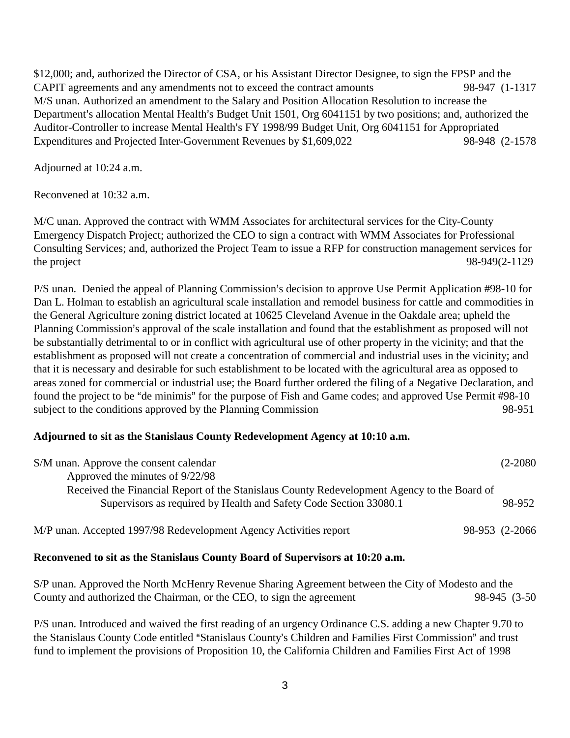\$12,000; and, authorized the Director of CSA, or his Assistant Director Designee, to sign the FPSP and the CAPIT agreements and any amendments not to exceed the contract amounts 98-947 (1-1317 M/S unan. Authorized an amendment to the Salary and Position Allocation Resolution to increase the Department's allocation Mental Health's Budget Unit 1501, Org 6041151 by two positions; and, authorized the Auditor-Controller to increase Mental Health's FY 1998/99 Budget Unit, Org 6041151 for Appropriated Expenditures and Projected Inter-Government Revenues by \$1,609,022 98-948 (2-1578

Adjourned at 10:24 a.m.

Reconvened at 10:32 a.m.

M/C unan. Approved the contract with WMM Associates for architectural services for the City-County Emergency Dispatch Project; authorized the CEO to sign a contract with WMM Associates for Professional Consulting Services; and, authorized the Project Team to issue a RFP for construction management services for the project 98-949(2-1129)

P/S unan. Denied the appeal of Planning Commission's decision to approve Use Permit Application #98-10 for Dan L. Holman to establish an agricultural scale installation and remodel business for cattle and commodities in the General Agriculture zoning district located at 10625 Cleveland Avenue in the Oakdale area; upheld the Planning Commission's approval of the scale installation and found that the establishment as proposed will not be substantially detrimental to or in conflict with agricultural use of other property in the vicinity; and that the establishment as proposed will not create a concentration of commercial and industrial uses in the vicinity; and that it is necessary and desirable for such establishment to be located with the agricultural area as opposed to areas zoned for commercial or industrial use; the Board further ordered the filing of a Negative Declaration, and found the project to be "de minimis" for the purpose of Fish and Game codes; and approved Use Permit #98-10 subject to the conditions approved by the Planning Commission 98-951

## **Adjourned to sit as the Stanislaus County Redevelopment Agency at 10:10 a.m.**

| S/M unan. Approve the consent calendar                                                      | $(2-2080)$      |
|---------------------------------------------------------------------------------------------|-----------------|
| Approved the minutes of 9/22/98                                                             |                 |
| Received the Financial Report of the Stanislaus County Redevelopment Agency to the Board of |                 |
| Supervisors as required by Health and Safety Code Section 33080.1                           | 98-952          |
| M/P unan. Accepted 1997/98 Redevelopment Agency Activities report                           | 98-953 (2-2066) |

## **Reconvened to sit as the Stanislaus County Board of Supervisors at 10:20 a.m.**

S/P unan. Approved the North McHenry Revenue Sharing Agreement between the City of Modesto and the County and authorized the Chairman, or the CEO, to sign the agreement 98-945 (3-50

P/S unan. Introduced and waived the first reading of an urgency Ordinance C.S. adding a new Chapter 9.70 to the Stanislaus County Code entitled "Stanislaus County's Children and Families First Commission" and trust fund to implement the provisions of Proposition 10, the California Children and Families First Act of 1998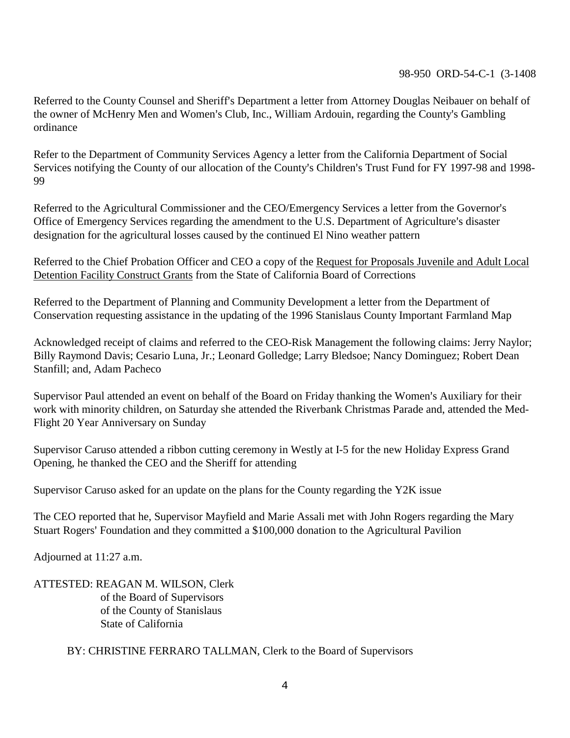## 98-950 ORD-54-C-1 (3-1408

Referred to the County Counsel and Sheriff's Department a letter from Attorney Douglas Neibauer on behalf of the owner of McHenry Men and Women's Club, Inc., William Ardouin, regarding the County's Gambling ordinance

Refer to the Department of Community Services Agency a letter from the California Department of Social Services notifying the County of our allocation of the County's Children's Trust Fund for FY 1997-98 and 1998-99

Referred to the Agricultural Commissioner and the CEO/Emergency Services a letter from the Governor's Office of Emergency Services regarding the amendment to the U.S. Department of Agriculture's disaster designation for the agricultural losses caused by the continued El Nino weather pattern

Referred to the Chief Probation Officer and CEO a copy of the Request for Proposals Juvenile and Adult Local Detention Facility Construct Grants from the State of California Board of Corrections

Referred to the Department of Planning and Community Development a letter from the Department of Conservation requesting assistance in the updating of the 1996 Stanislaus County Important Farmland Map

Acknowledged receipt of claims and referred to the CEO-Risk Management the following claims: Jerry Naylor; Billy Raymond Davis; Cesario Luna, Jr.; Leonard Golledge; Larry Bledsoe; Nancy Dominguez; Robert Dean Stanfill; and, Adam Pacheco

Supervisor Paul attended an event on behalf of the Board on Friday thanking the Women's Auxiliary for their work with minority children, on Saturday she attended the Riverbank Christmas Parade and, attended the Med-Flight 20 Year Anniversary on Sunday

Supervisor Caruso attended a ribbon cutting ceremony in Westly at I-5 for the new Holiday Express Grand Opening, he thanked the CEO and the Sheriff for attending

Supervisor Caruso asked for an update on the plans for the County regarding the Y2K issue

The CEO reported that he, Supervisor Mayfield and Marie Assali met with John Rogers regarding the Mary Stuart Rogers' Foundation and they committed a \$100,000 donation to the Agricultural Pavilion

Adjourned at 11:27 a.m.

ATTESTED: REAGAN M. WILSON, Clerk of the Board of Supervisors of the County of Stanislaus State of California

BY: CHRISTINE FERRARO TALLMAN, Clerk to the Board of Supervisors